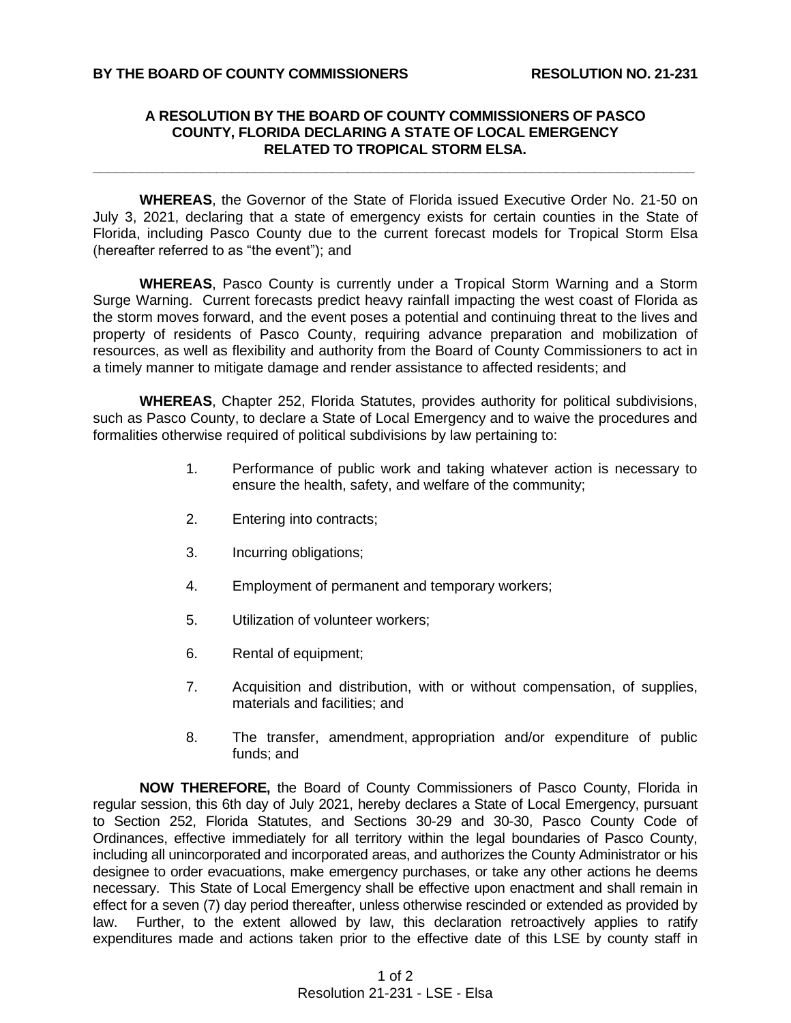## **A RESOLUTION BY THE BOARD OF COUNTY COMMISSIONERS OF PASCO COUNTY, FLORIDA DECLARING A STATE OF LOCAL EMERGENCY RELATED TO TROPICAL STORM ELSA.**

**\_\_\_\_\_\_\_\_\_\_\_\_\_\_\_\_\_\_\_\_\_\_\_\_\_\_\_\_\_\_\_\_\_\_\_\_\_\_\_\_\_\_\_\_\_\_\_\_\_\_\_\_\_\_\_\_\_\_\_\_\_\_\_\_\_\_\_\_\_\_\_\_\_\_\_\_\_\_**

**WHEREAS**, the Governor of the State of Florida issued Executive Order No. 21-50 on July 3, 2021, declaring that a state of emergency exists for certain counties in the State of Florida, including Pasco County due to the current forecast models for Tropical Storm Elsa (hereafter referred to as "the event"); and

**WHEREAS**, Pasco County is currently under a Tropical Storm Warning and a Storm Surge Warning. Current forecasts predict heavy rainfall impacting the west coast of Florida as the storm moves forward, and the event poses a potential and continuing threat to the lives and property of residents of Pasco County, requiring advance preparation and mobilization of resources, as well as flexibility and authority from the Board of County Commissioners to act in a timely manner to mitigate damage and render assistance to affected residents; and

**WHEREAS**, Chapter 252, Florida Statutes, provides authority for political subdivisions, such as Pasco County, to declare a State of Local Emergency and to waive the procedures and formalities otherwise required of political subdivisions by law pertaining to:

- 1. Performance of public work and taking whatever action is necessary to ensure the health, safety, and welfare of the community;
- 2. Entering into contracts;
- 3. Incurring obligations;
- 4. Employment of permanent and temporary workers;
- 5. Utilization of volunteer workers;
- 6. Rental of equipment;
- 7. Acquisition and distribution, with or without compensation, of supplies, materials and facilities; and
- 8. The transfer, amendment, appropriation and/or expenditure of public funds; and

**NOW THEREFORE,** the Board of County Commissioners of Pasco County, Florida in regular session, this 6th day of July 2021, hereby declares a State of Local Emergency, pursuant to Section 252, Florida Statutes, and Sections 30-29 and 30-30, Pasco County Code of Ordinances, effective immediately for all territory within the legal boundaries of Pasco County, including all unincorporated and incorporated areas, and authorizes the County Administrator or his designee to order evacuations, make emergency purchases, or take any other actions he deems necessary. This State of Local Emergency shall be effective upon enactment and shall remain in effect for a seven (7) day period thereafter, unless otherwise rescinded or extended as provided by law. Further, to the extent allowed by law, this declaration retroactively applies to ratify expenditures made and actions taken prior to the effective date of this LSE by county staff in